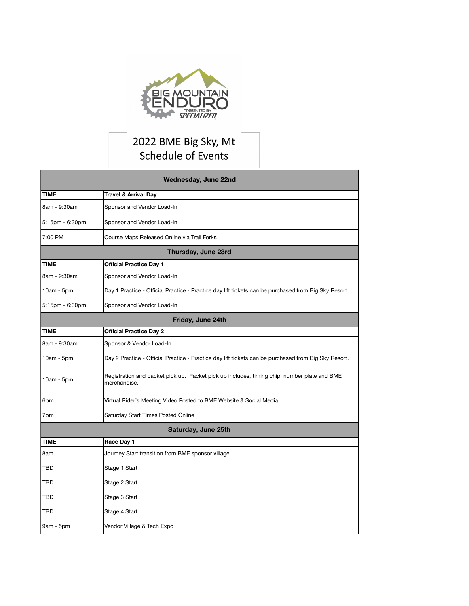

## 2022 BME Big Sky, Mt Schedule of Events

| Wednesday, June 22nd |                                                                                                             |  |
|----------------------|-------------------------------------------------------------------------------------------------------------|--|
| <b>TIME</b>          | <b>Travel &amp; Arrival Day</b>                                                                             |  |
| 8am - 9:30am         | Sponsor and Vendor Load-In                                                                                  |  |
| 5:15pm - 6:30pm      | Sponsor and Vendor Load-In                                                                                  |  |
| 7:00 PM              | Course Maps Released Online via Trail Forks                                                                 |  |
| Thursday, June 23rd  |                                                                                                             |  |
| <b>TIME</b>          | <b>Official Practice Day 1</b>                                                                              |  |
| 8am - 9:30am         | Sponsor and Vendor Load-In                                                                                  |  |
| 10am - 5pm           | Day 1 Practice - Official Practice - Practice day lift tickets can be purchased from Big Sky Resort.        |  |
| 5:15pm - 6:30pm      | Sponsor and Vendor Load-In                                                                                  |  |
| Friday, June 24th    |                                                                                                             |  |
| <b>TIME</b>          | <b>Official Practice Day 2</b>                                                                              |  |
| 8am - 9:30am         | Sponsor & Vendor Load-In                                                                                    |  |
| 10am - 5pm           | Day 2 Practice - Official Practice - Practice day lift tickets can be purchased from Big Sky Resort.        |  |
| 10am - 5pm           | Registration and packet pick up. Packet pick up includes, timing chip, number plate and BME<br>merchandise. |  |
| 6pm                  | Virtual Rider's Meeting Video Posted to BME Website & Social Media                                          |  |
| 7pm                  | Saturday Start Times Posted Online                                                                          |  |
| Saturday, June 25th  |                                                                                                             |  |
| <b>TIME</b>          | Race Day 1                                                                                                  |  |
| 8am                  | Journey Start transition from BME sponsor village                                                           |  |
| <b>TBD</b>           | Stage 1 Start                                                                                               |  |
| <b>TBD</b>           | Stage 2 Start                                                                                               |  |
| <b>TBD</b>           | Stage 3 Start                                                                                               |  |
| TBD                  | Stage 4 Start                                                                                               |  |
| 9am - 5pm            | Vendor Village & Tech Expo                                                                                  |  |